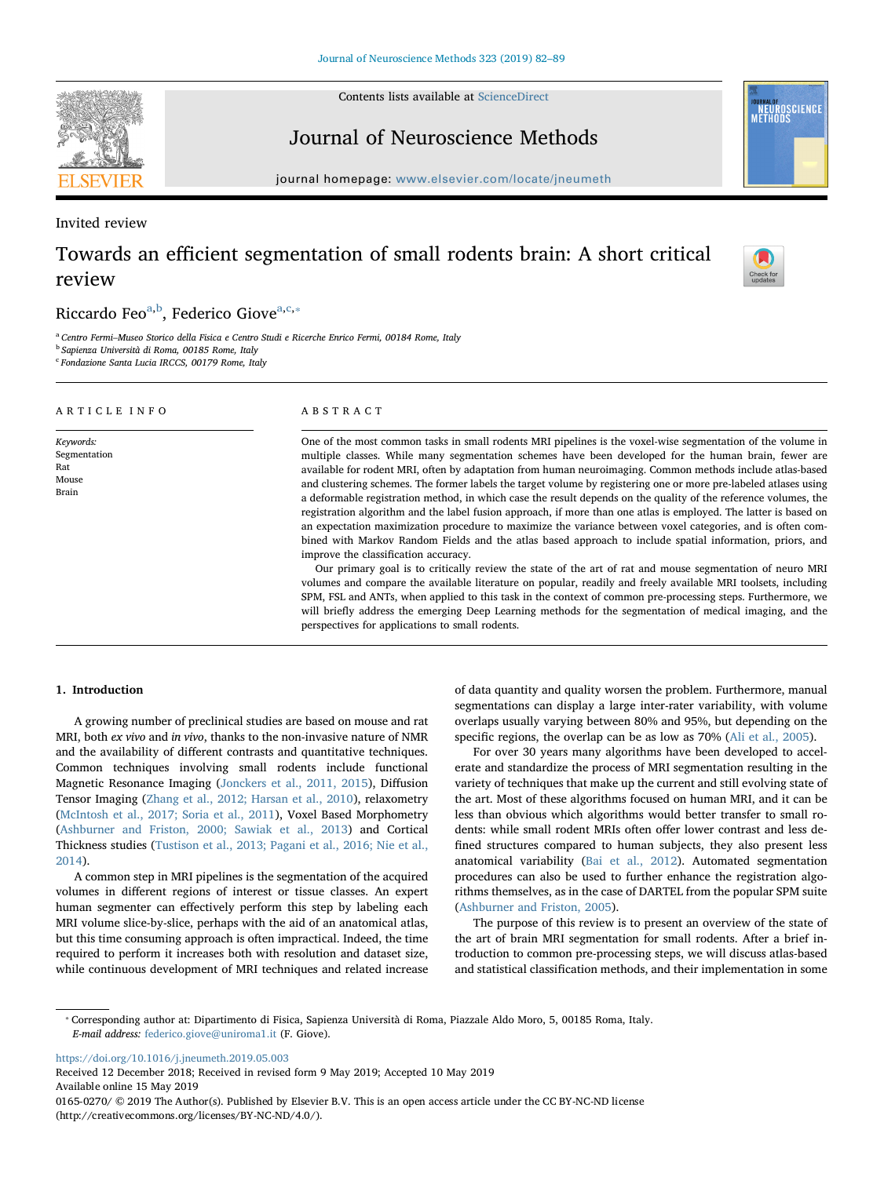Contents lists available at [ScienceDirect](http://www.sciencedirect.com/science/journal/01650270)

Journal of Neuroscience Methods

journal homepage: [www.elsevier.com/locate/jneumeth](https://www.elsevier.com/locate/jneumeth)

Invited review

# Towards an efficient segmentation of small rodents brain: A short critical review

# Ricc[a](#page-0-0)rdo Feo<sup>a[,b](#page-0-1)</sup>, Federico Giove<sup>[a,](#page-0-0)[c](#page-0-2),</sup>\*

<span id="page-0-1"></span><span id="page-0-0"></span><sup>a</sup> Centro Fermi–Museo Storico della Fisica e Centro Studi e Ricerche Enrico Fermi, 00184 Rome, Italy <sup>b</sup> Sapienza Università di Roma, 00185 Rome, Italy

<span id="page-0-2"></span><sup>c</sup> Fondazione Santa Lucia IRCCS, 00179 Rome, Italy

#### ARTICLE INFO Keywords: Segmentation Rat Mouse Brain ABSTRACT One of the most common tasks in small rodents MRI pipelines is the voxel-wise segmentation of the volume in multiple classes. While many segmentation schemes have been developed for the human brain, fewer are available for rodent MRI, often by adaptation from human neuroimaging. Common methods include atlas-based and clustering schemes. The former labels the target volume by registering one or more pre-labeled atlases using a deformable registration method, in which case the result depends on the quality of the reference volumes, the registration algorithm and the label fusion approach, if more than one atlas is employed. The latter is based on an expectation maximization procedure to maximize the variance between voxel categories, and is often combined with Markov Random Fields and the atlas based approach to include spatial information, priors, and improve the classification accuracy. Our primary goal is to critically review the state of the art of rat and mouse segmentation of neuro MRI

volumes and compare the available literature on popular, readily and freely available MRI toolsets, including SPM, FSL and ANTs, when applied to this task in the context of common pre-processing steps. Furthermore, we will briefly address the emerging Deep Learning methods for the segmentation of medical imaging, and the perspectives for applications to small rodents.

# 1. Introduction

A growing number of preclinical studies are based on mouse and rat MRI, both ex vivo and in vivo, thanks to the non-invasive nature of NMR and the availability of different contrasts and quantitative techniques. Common techniques involving small rodents include functional Magnetic Resonance Imaging ([Jonckers et al., 2011, 2015](#page-6-0)), Diffusion Tensor Imaging ([Zhang et al., 2012; Harsan et al., 2010](#page-7-0)), relaxometry ([McIntosh et al., 2017; Soria et al., 2011](#page-7-1)), Voxel Based Morphometry ([Ashburner and Friston, 2000; Sawiak et al., 2013](#page-6-1)) and Cortical Thickness studies ([Tustison et al., 2013; Pagani et al., 2016; Nie et al.,](#page-7-2) [2014\)](#page-7-2).

A common step in MRI pipelines is the segmentation of the acquired volumes in different regions of interest or tissue classes. An expert human segmenter can effectively perform this step by labeling each MRI volume slice-by-slice, perhaps with the aid of an anatomical atlas, but this time consuming approach is often impractical. Indeed, the time required to perform it increases both with resolution and dataset size, while continuous development of MRI techniques and related increase of data quantity and quality worsen the problem. Furthermore, manual segmentations can display a large inter-rater variability, with volume overlaps usually varying between 80% and 95%, but depending on the specific regions, the overlap can be as low as 70% ([Ali et al., 2005](#page-6-2)).

For over 30 years many algorithms have been developed to accelerate and standardize the process of MRI segmentation resulting in the variety of techniques that make up the current and still evolving state of the art. Most of these algorithms focused on human MRI, and it can be less than obvious which algorithms would better transfer to small rodents: while small rodent MRIs often offer lower contrast and less defined structures compared to human subjects, they also present less anatomical variability ([Bai et al., 2012](#page-6-3)). Automated segmentation procedures can also be used to further enhance the registration algorithms themselves, as in the case of DARTEL from the popular SPM suite ([Ashburner and Friston, 2005](#page-6-4)).

The purpose of this review is to present an overview of the state of the art of brain MRI segmentation for small rodents. After a brief introduction to common pre-processing steps, we will discuss atlas-based and statistical classification methods, and their implementation in some

<span id="page-0-3"></span>⁎ Corresponding author at: Dipartimento di Fisica, Sapienza Università di Roma, Piazzale Aldo Moro, 5, 00185 Roma, Italy. E-mail address: [federico.giove@uniroma1.it](mailto:federico.giove@uniroma1.it) (F. Giove).

<https://doi.org/10.1016/j.jneumeth.2019.05.003>

Received 12 December 2018; Received in revised form 9 May 2019; Accepted 10 May 2019 Available online 15 May 2019

0165-0270/ © 2019 The Author(s). Published by Elsevier B.V. This is an open access article under the CC BY-NC-ND license (http://creativecommons.org/licenses/BY-NC-ND/4.0/).





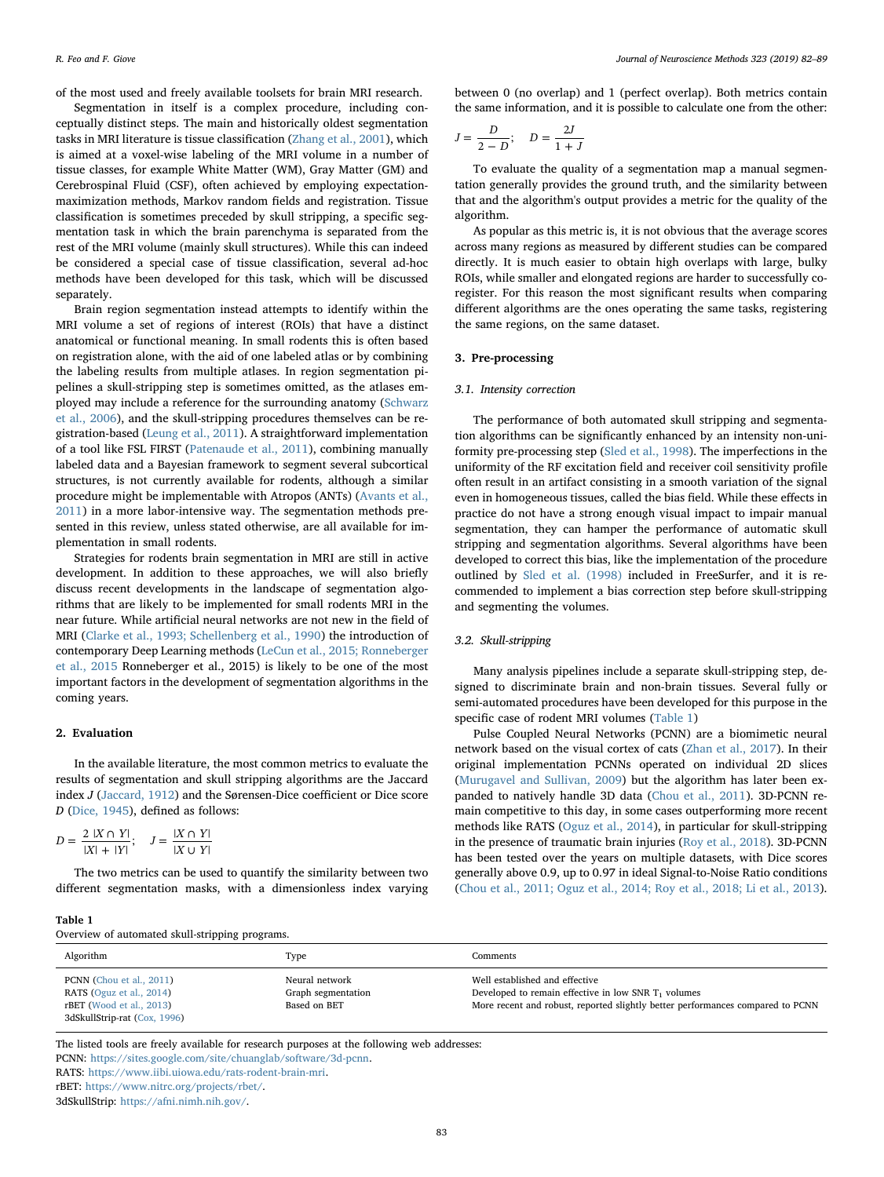of the most used and freely available toolsets for brain MRI research.

Segmentation in itself is a complex procedure, including conceptually distinct steps. The main and historically oldest segmentation tasks in MRI literature is tissue classification ([Zhang et al., 2001\)](#page-7-3), which is aimed at a voxel-wise labeling of the MRI volume in a number of tissue classes, for example White Matter (WM), Gray Matter (GM) and Cerebrospinal Fluid (CSF), often achieved by employing expectationmaximization methods, Markov random fields and registration. Tissue classification is sometimes preceded by skull stripping, a specific segmentation task in which the brain parenchyma is separated from the rest of the MRI volume (mainly skull structures). While this can indeed be considered a special case of tissue classification, several ad-hoc methods have been developed for this task, which will be discussed separately.

Brain region segmentation instead attempts to identify within the MRI volume a set of regions of interest (ROIs) that have a distinct anatomical or functional meaning. In small rodents this is often based on registration alone, with the aid of one labeled atlas or by combining the labeling results from multiple atlases. In region segmentation pipelines a skull-stripping step is sometimes omitted, as the atlases employed may include a reference for the surrounding anatomy [\(Schwarz](#page-7-4) [et al., 2006\)](#page-7-4), and the skull-stripping procedures themselves can be registration-based ([Leung et al., 2011](#page-7-5)). A straightforward implementation of a tool like FSL FIRST ([Patenaude et al., 2011](#page-7-6)), combining manually labeled data and a Bayesian framework to segment several subcortical structures, is not currently available for rodents, although a similar procedure might be implementable with Atropos (ANTs) [\(Avants et al.,](#page-6-5) [2011\)](#page-6-5) in a more labor-intensive way. The segmentation methods presented in this review, unless stated otherwise, are all available for implementation in small rodents.

Strategies for rodents brain segmentation in MRI are still in active development. In addition to these approaches, we will also briefly discuss recent developments in the landscape of segmentation algorithms that are likely to be implemented for small rodents MRI in the near future. While artificial neural networks are not new in the field of MRI ([Clarke et al., 1993; Schellenberg et al., 1990](#page-6-6)) the introduction of contemporary Deep Learning methods [\(LeCun et al., 2015; Ronneberger](#page-7-7) [et al., 2015](#page-7-7) Ronneberger et al., 2015) is likely to be one of the most important factors in the development of segmentation algorithms in the coming years.

## 2. Evaluation

In the available literature, the most common metrics to evaluate the results of segmentation and skull stripping algorithms are the Jaccard index J [\(Jaccard, 1912\)](#page-6-7) and the Sørensen-Dice coefficient or Dice score D ([Dice, 1945](#page-6-8)), defined as follows:

$$
D = \frac{2 |X \cap Y|}{|X| + |Y|}; \quad J = \frac{|X \cap Y|}{|X \cup Y|}
$$

The two metrics can be used to quantify the similarity between two different segmentation masks, with a dimensionless index varying

#### <span id="page-1-0"></span>Table 1

Overview of automated skull-stripping programs.

between 0 (no overlap) and 1 (perfect overlap). Both metrics contain the same information, and it is possible to calculate one from the other:

$$
J = \frac{D}{2 - D}; \quad D = \frac{2J}{1 + J}
$$

To evaluate the quality of a segmentation map a manual segmentation generally provides the ground truth, and the similarity between that and the algorithm's output provides a metric for the quality of the algorithm.

As popular as this metric is, it is not obvious that the average scores across many regions as measured by different studies can be compared directly. It is much easier to obtain high overlaps with large, bulky ROIs, while smaller and elongated regions are harder to successfully coregister. For this reason the most significant results when comparing different algorithms are the ones operating the same tasks, registering the same regions, on the same dataset.

## 3. Pre-processing

## 3.1. Intensity correction

The performance of both automated skull stripping and segmentation algorithms can be significantly enhanced by an intensity non-uniformity pre-processing step ([Sled et al., 1998](#page-7-8)). The imperfections in the uniformity of the RF excitation field and receiver coil sensitivity profile often result in an artifact consisting in a smooth variation of the signal even in homogeneous tissues, called the bias field. While these effects in practice do not have a strong enough visual impact to impair manual segmentation, they can hamper the performance of automatic skull stripping and segmentation algorithms. Several algorithms have been developed to correct this bias, like the implementation of the procedure outlined by [Sled et al. \(1998\)](#page-7-8) included in FreeSurfer, and it is recommended to implement a bias correction step before skull-stripping and segmenting the volumes.

# 3.2. Skull-stripping

Many analysis pipelines include a separate skull-stripping step, designed to discriminate brain and non-brain tissues. Several fully or semi-automated procedures have been developed for this purpose in the specific case of rodent MRI volumes ([Table 1\)](#page-1-0)

Pulse Coupled Neural Networks (PCNN) are a biomimetic neural network based on the visual cortex of cats ([Zhan et al., 2017](#page-7-9)). In their original implementation PCNNs operated on individual 2D slices ([Murugavel and Sullivan, 2009](#page-7-10)) but the algorithm has later been expanded to natively handle 3D data [\(Chou et al., 2011\)](#page-6-9). 3D-PCNN remain competitive to this day, in some cases outperforming more recent methods like RATS [\(Oguz et al., 2014](#page-7-11)), in particular for skull-stripping in the presence of traumatic brain injuries [\(Roy et al., 2018](#page-7-12)). 3D-PCNN has been tested over the years on multiple datasets, with Dice scores generally above 0.9, up to 0.97 in ideal Signal-to-Noise Ratio conditions ([Chou et al., 2011; Oguz et al., 2014; Roy et al., 2018; Li et al., 2013](#page-6-9)).

| Algorithm                                                  | Type                                 | Comments                                                                                 |  |  |
|------------------------------------------------------------|--------------------------------------|------------------------------------------------------------------------------------------|--|--|
| PCNN (Chou et al., 2011)<br>RATS (Oguz et al., 2014)       | Neural network<br>Graph segmentation | Well established and effective<br>Developed to remain effective in low SNR $T_1$ volumes |  |  |
| $rBET$ (Wood et al., 2013)<br>3dSkullStrip-rat (Cox, 1996) | Based on BET                         | More recent and robust, reported slightly better performances compared to PCNN           |  |  |

The listed tools are freely available for research purposes at the following web addresses:

PCNN: [https://sites.google.com/site/chuanglab/software/3d-pcnn.](https://sites.google.com/site/chuanglab/software/3d-pcnn)

RATS: [https://www.iibi.uiowa.edu/rats-rodent-brain-mri.](https://www.iibi.uiowa.edu/rats-rodent-brain-mri)

rBET: [https://www.nitrc.org/projects/rbet/.](https://www.nitrc.org/projects/rbet/)

3dSkullStrip: <https://afni.nimh.nih.gov/>.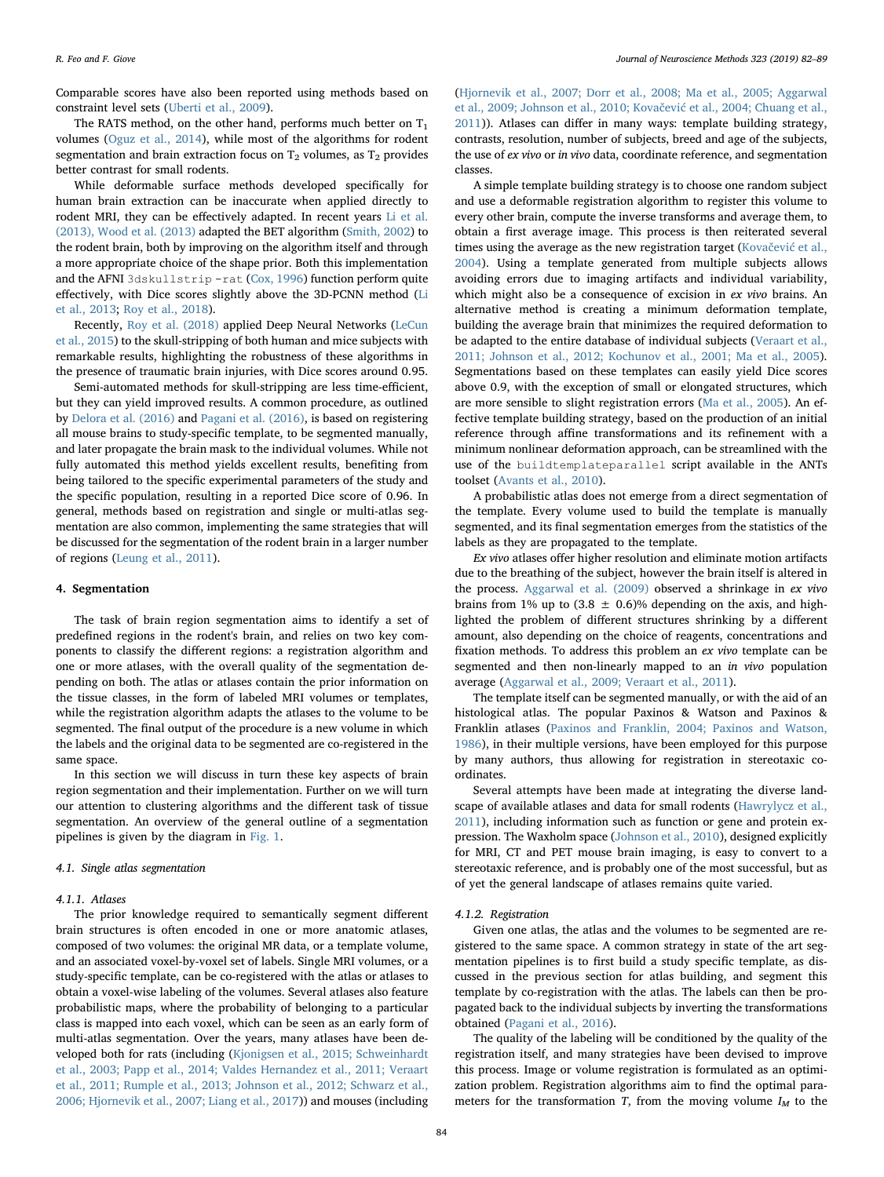Comparable scores have also been reported using methods based on constraint level sets ([Uberti et al., 2009](#page-7-14)).

The RATS method, on the other hand, performs much better on  $T_1$ volumes [\(Oguz et al., 2014](#page-7-11)), while most of the algorithms for rodent segmentation and brain extraction focus on  $T_2$  volumes, as  $T_2$  provides better contrast for small rodents.

While deformable surface methods developed specifically for human brain extraction can be inaccurate when applied directly to rodent MRI, they can be effectively adapted. In recent years [Li et al.](#page-7-15) [\(2013\), Wood et al. \(2013\)](#page-7-15) adapted the BET algorithm ([Smith, 2002\)](#page-7-16) to the rodent brain, both by improving on the algorithm itself and through a more appropriate choice of the shape prior. Both this implementation and the AFNI 3dskullstrip -rat ([Cox, 1996](#page-6-10)) function perform quite effectively, with Dice scores slightly above the 3D-PCNN method [\(Li](#page-7-15) [et al., 2013](#page-7-15); [Roy et al., 2018](#page-7-12)).

Recently, [Roy et al. \(2018\)](#page-7-17) applied Deep Neural Networks [\(LeCun](#page-7-7) [et al., 2015\)](#page-7-7) to the skull-stripping of both human and mice subjects with remarkable results, highlighting the robustness of these algorithms in the presence of traumatic brain injuries, with Dice scores around 0.95.

Semi-automated methods for skull-stripping are less time-efficient, but they can yield improved results. A common procedure, as outlined by [Delora et al. \(2016\)](#page-6-11) and [Pagani et al. \(2016\)](#page-7-18), is based on registering all mouse brains to study-specific template, to be segmented manually, and later propagate the brain mask to the individual volumes. While not fully automated this method yields excellent results, benefiting from being tailored to the specific experimental parameters of the study and the specific population, resulting in a reported Dice score of 0.96. In general, methods based on registration and single or multi-atlas segmentation are also common, implementing the same strategies that will be discussed for the segmentation of the rodent brain in a larger number of regions ([Leung et al., 2011](#page-7-5)).

## 4. Segmentation

The task of brain region segmentation aims to identify a set of predefined regions in the rodent's brain, and relies on two key components to classify the different regions: a registration algorithm and one or more atlases, with the overall quality of the segmentation depending on both. The atlas or atlases contain the prior information on the tissue classes, in the form of labeled MRI volumes or templates, while the registration algorithm adapts the atlases to the volume to be segmented. The final output of the procedure is a new volume in which the labels and the original data to be segmented are co-registered in the same space.

In this section we will discuss in turn these key aspects of brain region segmentation and their implementation. Further on we will turn our attention to clustering algorithms and the different task of tissue segmentation. An overview of the general outline of a segmentation pipelines is given by the diagram in [Fig. 1.](#page-3-0)

### 4.1. Single atlas segmentation

### 4.1.1. Atlases

The prior knowledge required to semantically segment different brain structures is often encoded in one or more anatomic atlases, composed of two volumes: the original MR data, or a template volume, and an associated voxel-by-voxel set of labels. Single MRI volumes, or a study-specific template, can be co-registered with the atlas or atlases to obtain a voxel-wise labeling of the volumes. Several atlases also feature probabilistic maps, where the probability of belonging to a particular class is mapped into each voxel, which can be seen as an early form of multi-atlas segmentation. Over the years, many atlases have been developed both for rats (including [\(Kjonigsen et al., 2015; Schweinhardt](#page-6-12) [et al., 2003; Papp et al., 2014; Valdes Hernandez et al., 2011; Veraart](#page-6-12) [et al., 2011; Rumple et al., 2013; Johnson et al., 2012; Schwarz et al.,](#page-6-12) [2006; Hjornevik et al., 2007; Liang et al., 2017](#page-6-12))) and mouses (including ([Hjornevik et al., 2007; Dorr et al., 2008; Ma et al., 2005; Aggarwal](#page-6-13) [et al., 2009; Johnson et al., 2010; Kova](#page-6-13)čević et al., 2004; Chuang et al., [2011\)](#page-6-13)). Atlases can differ in many ways: template building strategy, contrasts, resolution, number of subjects, breed and age of the subjects, the use of ex vivo or in vivo data, coordinate reference, and segmentation classes.

A simple template building strategy is to choose one random subject and use a deformable registration algorithm to register this volume to every other brain, compute the inverse transforms and average them, to obtain a first average image. This process is then reiterated several times using the average as the new registration target (Kovačević [et al.,](#page-7-19) [2004\)](#page-7-19). Using a template generated from multiple subjects allows avoiding errors due to imaging artifacts and individual variability, which might also be a consequence of excision in ex vivo brains. An alternative method is creating a minimum deformation template, building the average brain that minimizes the required deformation to be adapted to the entire database of individual subjects ([Veraart et al.,](#page-7-20) [2011; Johnson et al., 2012; Kochunov et al., 2001; Ma et al., 2005](#page-7-20)). Segmentations based on these templates can easily yield Dice scores above 0.9, with the exception of small or elongated structures, which are more sensible to slight registration errors [\(Ma et al., 2005](#page-7-21)). An effective template building strategy, based on the production of an initial reference through affine transformations and its refinement with a minimum nonlinear deformation approach, can be streamlined with the use of the buildtemplateparallel script available in the ANTs toolset ([Avants et al., 2010](#page-6-14)).

A probabilistic atlas does not emerge from a direct segmentation of the template. Every volume used to build the template is manually segmented, and its final segmentation emerges from the statistics of the labels as they are propagated to the template.

Ex vivo atlases offer higher resolution and eliminate motion artifacts due to the breathing of the subject, however the brain itself is altered in the process. [Aggarwal et al. \(2009\)](#page-6-15) observed a shrinkage in ex vivo brains from 1% up to  $(3.8 \pm 0.6)$ % depending on the axis, and highlighted the problem of different structures shrinking by a different amount, also depending on the choice of reagents, concentrations and fixation methods. To address this problem an ex vivo template can be segmented and then non-linearly mapped to an in vivo population average ([Aggarwal et al., 2009; Veraart et al., 2011](#page-6-15)).

The template itself can be segmented manually, or with the aid of an histological atlas. The popular Paxinos & Watson and Paxinos & Franklin atlases [\(Paxinos and Franklin, 2004; Paxinos and Watson,](#page-7-22) [1986\)](#page-7-22), in their multiple versions, have been employed for this purpose by many authors, thus allowing for registration in stereotaxic coordinates.

Several attempts have been made at integrating the diverse landscape of available atlases and data for small rodents ([Hawrylycz et al.,](#page-6-16) [2011\)](#page-6-16), including information such as function or gene and protein expression. The Waxholm space ([Johnson et al., 2010\)](#page-6-17), designed explicitly for MRI, CT and PET mouse brain imaging, is easy to convert to a stereotaxic reference, and is probably one of the most successful, but as of yet the general landscape of atlases remains quite varied.

### 4.1.2. Registration

Given one atlas, the atlas and the volumes to be segmented are registered to the same space. A common strategy in state of the art segmentation pipelines is to first build a study specific template, as discussed in the previous section for atlas building, and segment this template by co-registration with the atlas. The labels can then be propagated back to the individual subjects by inverting the transformations obtained [\(Pagani et al., 2016](#page-7-18)).

The quality of the labeling will be conditioned by the quality of the registration itself, and many strategies have been devised to improve this process. Image or volume registration is formulated as an optimization problem. Registration algorithms aim to find the optimal parameters for the transformation T, from the moving volume  $I_M$  to the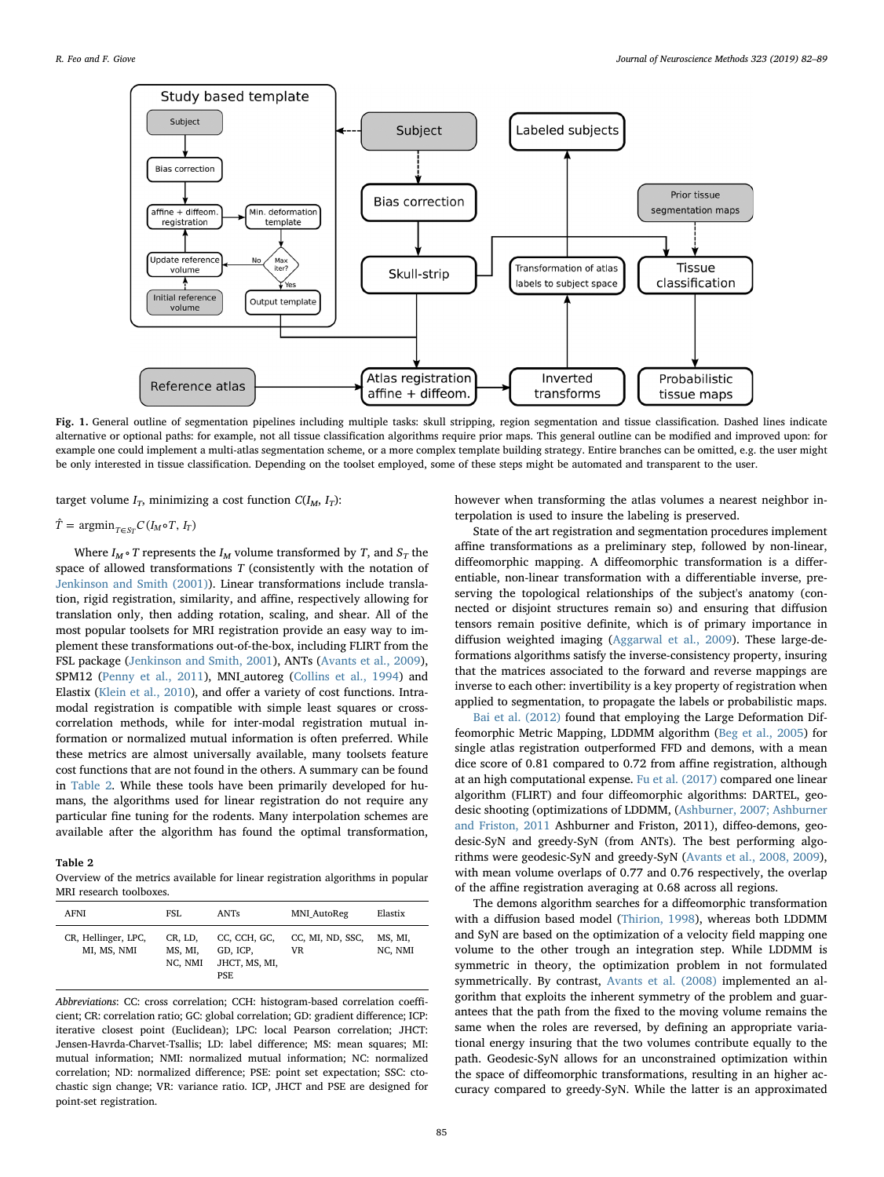<span id="page-3-0"></span>

Fig. 1. General outline of segmentation pipelines including multiple tasks: skull stripping, region segmentation and tissue classification. Dashed lines indicate alternative or optional paths: for example, not all tissue classification algorithms require prior maps. This general outline can be modified and improved upon: for example one could implement a multi-atlas segmentation scheme, or a more complex template building strategy. Entire branches can be omitted, e.g. the user might be only interested in tissue classification. Depending on the toolset employed, some of these steps might be automated and transparent to the user.

target volume  $I_T$ , minimizing a cost function  $C(I_M, I_T)$ :

# $\hat{T} = \operatorname{argmin}_{T \in S_T} C(I_M \circ T, I_T)$

Where  $I_M \circ T$  represents the  $I_M$  volume transformed by T, and  $S_T$  the space of allowed transformations  $T$  (consistently with the notation of [Jenkinson and Smith \(2001\)](#page-6-18)). Linear transformations include translation, rigid registration, similarity, and affine, respectively allowing for translation only, then adding rotation, scaling, and shear. All of the most popular toolsets for MRI registration provide an easy way to implement these transformations out-of-the-box, including FLIRT from the FSL package [\(Jenkinson and Smith, 2001\)](#page-6-18), ANTs [\(Avants et al., 2009](#page-6-19)), SPM12 [\(Penny et al., 2011](#page-7-23)), MNI\_autoreg [\(Collins et al., 1994\)](#page-6-20) and Elastix ([Klein et al., 2010](#page-7-24)), and offer a variety of cost functions. Intramodal registration is compatible with simple least squares or crosscorrelation methods, while for inter-modal registration mutual information or normalized mutual information is often preferred. While these metrics are almost universally available, many toolsets feature cost functions that are not found in the others. A summary can be found in [Table 2](#page-3-1). While these tools have been primarily developed for humans, the algorithms used for linear registration do not require any particular fine tuning for the rodents. Many interpolation schemes are available after the algorithm has found the optimal transformation,

### <span id="page-3-1"></span>Table 2

Overview of the metrics available for linear registration algorithms in popular MRI research toolboxes.

| <b>AFNI</b>                        | FSL                           | ANTs                                             | <b>MNI AutoReg</b>     | Elastix            |
|------------------------------------|-------------------------------|--------------------------------------------------|------------------------|--------------------|
| CR, Hellinger, LPC,<br>MI, MS, NMI | CR, LD,<br>MS. MI.<br>NC. NMI | CC, CCH, GC,<br>GD. ICP.<br>JHCT, MS, MI,<br>PSE | CC, MI, ND, SSC,<br>VR | MS, MI,<br>NC, NMI |

Abbreviations: CC: cross correlation; CCH: histogram-based correlation coefficient; CR: correlation ratio; GC: global correlation; GD: gradient difference; ICP: iterative closest point (Euclidean); LPC: local Pearson correlation; JHCT: Jensen-Havrda-Charvet-Tsallis; LD: label difference; MS: mean squares; MI: mutual information; NMI: normalized mutual information; NC: normalized correlation; ND: normalized difference; PSE: point set expectation; SSC: ctochastic sign change; VR: variance ratio. ICP, JHCT and PSE are designed for point-set registration.

however when transforming the atlas volumes a nearest neighbor interpolation is used to insure the labeling is preserved.

State of the art registration and segmentation procedures implement affine transformations as a preliminary step, followed by non-linear, diffeomorphic mapping. A diffeomorphic transformation is a differentiable, non-linear transformation with a differentiable inverse, preserving the topological relationships of the subject's anatomy (connected or disjoint structures remain so) and ensuring that diffusion tensors remain positive definite, which is of primary importance in diffusion weighted imaging ([Aggarwal et al., 2009](#page-6-15)). These large-deformations algorithms satisfy the inverse-consistency property, insuring that the matrices associated to the forward and reverse mappings are inverse to each other: invertibility is a key property of registration when applied to segmentation, to propagate the labels or probabilistic maps.

[Bai et al. \(2012\)](#page-6-3) found that employing the Large Deformation Diffeomorphic Metric Mapping, LDDMM algorithm [\(Beg et al., 2005\)](#page-6-21) for single atlas registration outperformed FFD and demons, with a mean dice score of 0.81 compared to 0.72 from affine registration, although at an high computational expense. [Fu et al. \(2017\)](#page-6-22) compared one linear algorithm (FLIRT) and four diffeomorphic algorithms: DARTEL, geodesic shooting (optimizations of LDDMM, ([Ashburner, 2007; Ashburner](#page-6-23) [and Friston, 2011](#page-6-23) Ashburner and Friston, 2011), diffeo-demons, geodesic-SyN and greedy-SyN (from ANTs). The best performing algorithms were geodesic-SyN and greedy-SyN ([Avants et al., 2008, 2009](#page-6-24)), with mean volume overlaps of 0.77 and 0.76 respectively, the overlap of the affine registration averaging at 0.68 across all regions.

The demons algorithm searches for a diffeomorphic transformation with a diffusion based model ([Thirion, 1998](#page-7-25)), whereas both LDDMM and SyN are based on the optimization of a velocity field mapping one volume to the other trough an integration step. While LDDMM is symmetric in theory, the optimization problem in not formulated symmetrically. By contrast, [Avants et al. \(2008\)](#page-6-24) implemented an algorithm that exploits the inherent symmetry of the problem and guarantees that the path from the fixed to the moving volume remains the same when the roles are reversed, by defining an appropriate variational energy insuring that the two volumes contribute equally to the path. Geodesic-SyN allows for an unconstrained optimization within the space of diffeomorphic transformations, resulting in an higher accuracy compared to greedy-SyN. While the latter is an approximated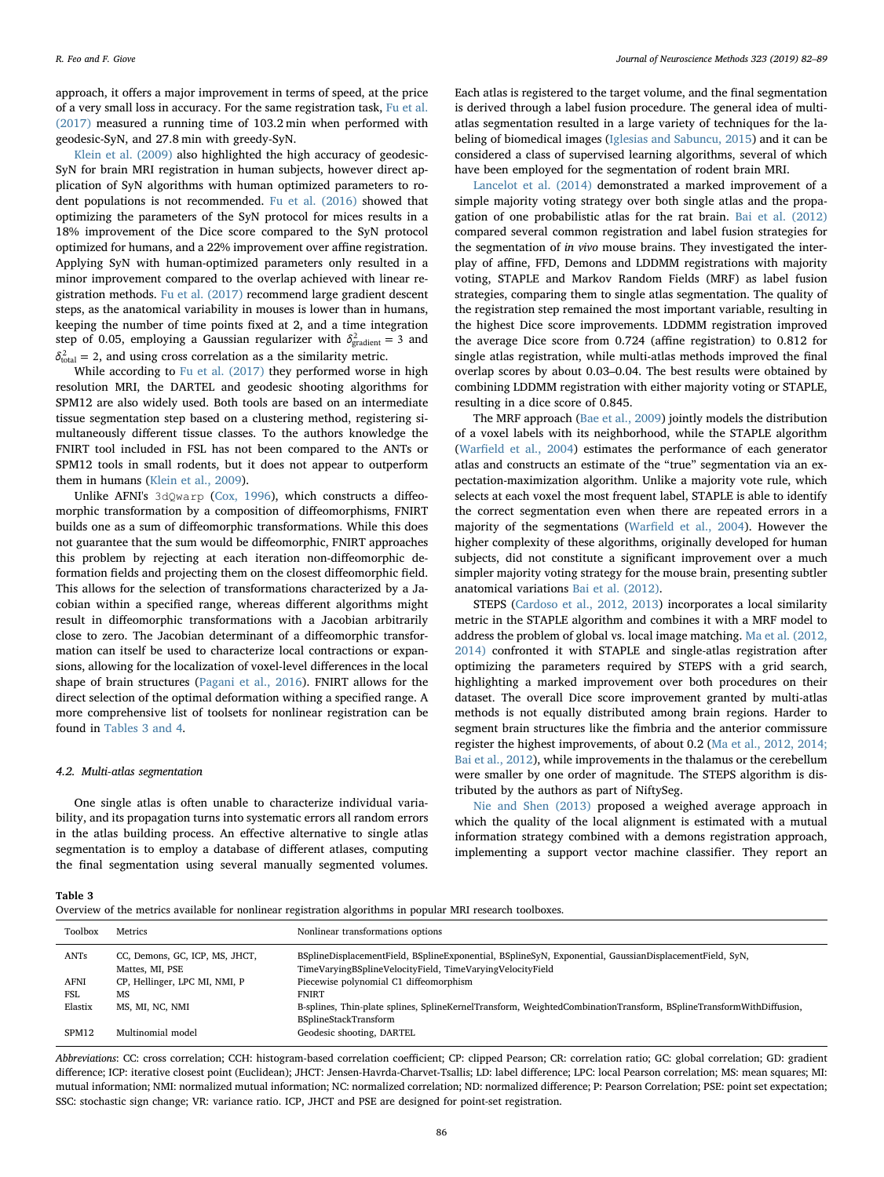approach, it offers a major improvement in terms of speed, at the price of a very small loss in accuracy. For the same registration task, [Fu et al.](#page-6-22) [\(2017\)](#page-6-22) measured a running time of 103.2 min when performed with geodesic-SyN, and 27.8 min with greedy-SyN.

[Klein et al. \(2009\)](#page-7-26) also highlighted the high accuracy of geodesic-SyN for brain MRI registration in human subjects, however direct application of SyN algorithms with human optimized parameters to rodent populations is not recommended. [Fu et al. \(2016\)](#page-6-25) showed that optimizing the parameters of the SyN protocol for mices results in a 18% improvement of the Dice score compared to the SyN protocol optimized for humans, and a 22% improvement over affine registration. Applying SyN with human-optimized parameters only resulted in a minor improvement compared to the overlap achieved with linear registration methods. [Fu et al. \(2017\)](#page-6-22) recommend large gradient descent steps, as the anatomical variability in mouses is lower than in humans, keeping the number of time points fixed at 2, and a time integration step of 0.05, employing a Gaussian regularizer with  $\delta_{\text{gradient}}^2 = 3$  and  $\delta_{\text{total}}^2$  = 2, and using cross correlation as a the similarity metric.

While according to [Fu et al. \(2017\)](#page-6-22) they performed worse in high resolution MRI, the DARTEL and geodesic shooting algorithms for SPM12 are also widely used. Both tools are based on an intermediate tissue segmentation step based on a clustering method, registering simultaneously different tissue classes. To the authors knowledge the FNIRT tool included in FSL has not been compared to the ANTs or SPM12 tools in small rodents, but it does not appear to outperform them in humans [\(Klein et al., 2009\)](#page-7-26).

Unlike AFNI's 3dQwarp ([Cox, 1996\)](#page-6-10), which constructs a diffeomorphic transformation by a composition of diffeomorphisms, FNIRT builds one as a sum of diffeomorphic transformations. While this does not guarantee that the sum would be diffeomorphic, FNIRT approaches this problem by rejecting at each iteration non-diffeomorphic deformation fields and projecting them on the closest diffeomorphic field. This allows for the selection of transformations characterized by a Jacobian within a specified range, whereas different algorithms might result in diffeomorphic transformations with a Jacobian arbitrarily close to zero. The Jacobian determinant of a diffeomorphic transformation can itself be used to characterize local contractions or expansions, allowing for the localization of voxel-level differences in the local shape of brain structures [\(Pagani et al., 2016\)](#page-7-18). FNIRT allows for the direct selection of the optimal deformation withing a specified range. A more comprehensive list of toolsets for nonlinear registration can be found in [Tables 3 and 4](#page-4-0).

#### 4.2. Multi-atlas segmentation

One single atlas is often unable to characterize individual variability, and its propagation turns into systematic errors all random errors in the atlas building process. An effective alternative to single atlas segmentation is to employ a database of different atlases, computing the final segmentation using several manually segmented volumes.

Each atlas is registered to the target volume, and the final segmentation is derived through a label fusion procedure. The general idea of multiatlas segmentation resulted in a large variety of techniques for the labeling of biomedical images ([Iglesias and Sabuncu, 2015\)](#page-6-26) and it can be considered a class of supervised learning algorithms, several of which have been employed for the segmentation of rodent brain MRI.

[Lancelot et al. \(2014\)](#page-7-27) demonstrated a marked improvement of a simple majority voting strategy over both single atlas and the propagation of one probabilistic atlas for the rat brain. [Bai et al. \(2012\)](#page-6-3) compared several common registration and label fusion strategies for the segmentation of in vivo mouse brains. They investigated the interplay of affine, FFD, Demons and LDDMM registrations with majority voting, STAPLE and Markov Random Fields (MRF) as label fusion strategies, comparing them to single atlas segmentation. The quality of the registration step remained the most important variable, resulting in the highest Dice score improvements. LDDMM registration improved the average Dice score from 0.724 (affine registration) to 0.812 for single atlas registration, while multi-atlas methods improved the final overlap scores by about 0.03–0.04. The best results were obtained by combining LDDMM registration with either majority voting or STAPLE, resulting in a dice score of 0.845.

The MRF approach ([Bae et al., 2009\)](#page-6-27) jointly models the distribution of a voxel labels with its neighborhood, while the STAPLE algorithm (Warfi[eld et al., 2004\)](#page-7-28) estimates the performance of each generator atlas and constructs an estimate of the "true" segmentation via an expectation-maximization algorithm. Unlike a majority vote rule, which selects at each voxel the most frequent label, STAPLE is able to identify the correct segmentation even when there are repeated errors in a majority of the segmentations (Warfi[eld et al., 2004\)](#page-7-28). However the higher complexity of these algorithms, originally developed for human subjects, did not constitute a significant improvement over a much simpler majority voting strategy for the mouse brain, presenting subtler anatomical variations [Bai et al. \(2012\)](#page-6-3).

STEPS [\(Cardoso et al., 2012, 2013\)](#page-6-28) incorporates a local similarity metric in the STAPLE algorithm and combines it with a MRF model to address the problem of global vs. local image matching. [Ma et al. \(2012,](#page-7-29) [2014\)](#page-7-29) confronted it with STAPLE and single-atlas registration after optimizing the parameters required by STEPS with a grid search, highlighting a marked improvement over both procedures on their dataset. The overall Dice score improvement granted by multi-atlas methods is not equally distributed among brain regions. Harder to segment brain structures like the fimbria and the anterior commissure register the highest improvements, of about 0.2 ([Ma et al., 2012, 2014;](#page-7-29) [Bai et al., 2012](#page-7-29)), while improvements in the thalamus or the cerebellum were smaller by one order of magnitude. The STEPS algorithm is distributed by the authors as part of NiftySeg.

[Nie and Shen \(2013\)](#page-7-30) proposed a weighed average approach in which the quality of the local alignment is estimated with a mutual information strategy combined with a demons registration approach, implementing a support vector machine classifier. They report an

<span id="page-4-0"></span>Table 3

Overview of the metrics available for nonlinear registration algorithms in popular MRI research toolboxes.

| Toolbox | Metrics                                           | Nonlinear transformations options                                                                                                                                   |
|---------|---------------------------------------------------|---------------------------------------------------------------------------------------------------------------------------------------------------------------------|
| ANTs    | CC, Demons, GC, ICP, MS, JHCT,<br>Mattes, MI, PSE | BSplineDisplacementField, BSplineExponential, BSplineSyN, Exponential, GaussianDisplacementField, SyN,<br>TimeVaryingBSplineVelocityField, TimeVaryingVelocityField |
| AFNI    | CP, Hellinger, LPC MI, NMI, P                     | Piecewise polynomial C1 diffeomorphism                                                                                                                              |
| FSL     | MS                                                | <b>FNIRT</b>                                                                                                                                                        |
| Elastix | MS, MI, NC, NMI                                   | B-splines, Thin-plate splines, SplineKernelTransform, WeightedCombinationTransform, BSplineTransformWithDiffusion,                                                  |
|         |                                                   | BSplineStackTransform                                                                                                                                               |
| SPM12   | Multinomial model                                 | Geodesic shooting, DARTEL                                                                                                                                           |
|         |                                                   |                                                                                                                                                                     |

Abbreviations: CC: cross correlation; CCH: histogram-based correlation coefficient; CP: clipped Pearson; CR: correlation ratio; GC: global correlation; GD: gradient difference; ICP: iterative closest point (Euclidean); JHCT: Jensen-Havrda-Charvet-Tsallis; LD: label difference; LPC: local Pearson correlation; MS: mean squares; MI: mutual information; NMI: normalized mutual information; NC: normalized correlation; ND: normalized difference; P: Pearson Correlation; PSE: point set expectation; SSC: stochastic sign change; VR: variance ratio. ICP, JHCT and PSE are designed for point-set registration.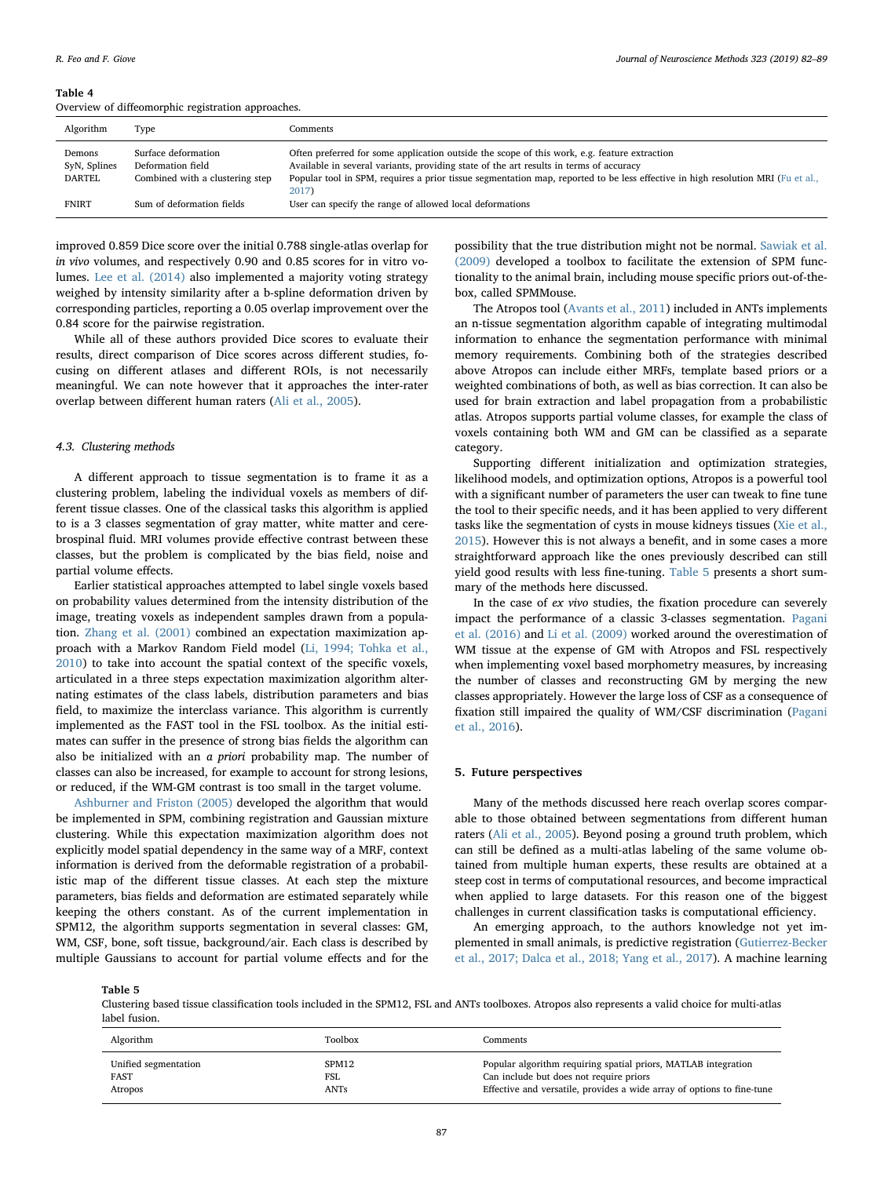#### Table 4

Overview of diffeomorphic registration approaches.

| Algorithm                        | Type                                                                        | Comments                                                                                                                                                                                                                                                                                                                           |
|----------------------------------|-----------------------------------------------------------------------------|------------------------------------------------------------------------------------------------------------------------------------------------------------------------------------------------------------------------------------------------------------------------------------------------------------------------------------|
| Demons<br>SyN, Splines<br>DARTEL | Surface deformation<br>Deformation field<br>Combined with a clustering step | Often preferred for some application outside the scope of this work, e.g. feature extraction<br>Available in several variants, providing state of the art results in terms of accuracy<br>Popular tool in SPM, requires a prior tissue segmentation map, reported to be less effective in high resolution MRI (Fu et al.,<br>2017) |
| <b>FNIRT</b>                     | Sum of deformation fields                                                   | User can specify the range of allowed local deformations                                                                                                                                                                                                                                                                           |

improved 0.859 Dice score over the initial 0.788 single-atlas overlap for in vivo volumes, and respectively 0.90 and 0.85 scores for in vitro volumes. [Lee et al. \(2014\)](#page-7-31) also implemented a majority voting strategy weighed by intensity similarity after a b-spline deformation driven by corresponding particles, reporting a 0.05 overlap improvement over the 0.84 score for the pairwise registration.

While all of these authors provided Dice scores to evaluate their results, direct comparison of Dice scores across different studies, focusing on different atlases and different ROIs, is not necessarily meaningful. We can note however that it approaches the inter-rater overlap between different human raters ([Ali et al., 2005](#page-6-2)).

#### 4.3. Clustering methods

A different approach to tissue segmentation is to frame it as a clustering problem, labeling the individual voxels as members of different tissue classes. One of the classical tasks this algorithm is applied to is a 3 classes segmentation of gray matter, white matter and cerebrospinal fluid. MRI volumes provide effective contrast between these classes, but the problem is complicated by the bias field, noise and partial volume effects.

Earlier statistical approaches attempted to label single voxels based on probability values determined from the intensity distribution of the image, treating voxels as independent samples drawn from a population. [Zhang et al. \(2001\)](#page-7-3) combined an expectation maximization approach with a Markov Random Field model ([Li, 1994; Tohka et al.,](#page-7-32) [2010\)](#page-7-32) to take into account the spatial context of the specific voxels, articulated in a three steps expectation maximization algorithm alternating estimates of the class labels, distribution parameters and bias field, to maximize the interclass variance. This algorithm is currently implemented as the FAST tool in the FSL toolbox. As the initial estimates can suffer in the presence of strong bias fields the algorithm can also be initialized with an a priori probability map. The number of classes can also be increased, for example to account for strong lesions, or reduced, if the WM-GM contrast is too small in the target volume.

[Ashburner and Friston \(2005\)](#page-6-4) developed the algorithm that would be implemented in SPM, combining registration and Gaussian mixture clustering. While this expectation maximization algorithm does not explicitly model spatial dependency in the same way of a MRF, context information is derived from the deformable registration of a probabilistic map of the different tissue classes. At each step the mixture parameters, bias fields and deformation are estimated separately while keeping the others constant. As of the current implementation in SPM12, the algorithm supports segmentation in several classes: GM, WM, CSF, bone, soft tissue, background/air. Each class is described by multiple Gaussians to account for partial volume effects and for the

possibility that the true distribution might not be normal. [Sawiak et al.](#page-7-33) [\(2009\)](#page-7-33) developed a toolbox to facilitate the extension of SPM functionality to the animal brain, including mouse specific priors out-of-thebox, called SPMMouse.

The Atropos tool ([Avants et al., 2011\)](#page-6-5) included in ANTs implements an n-tissue segmentation algorithm capable of integrating multimodal information to enhance the segmentation performance with minimal memory requirements. Combining both of the strategies described above Atropos can include either MRFs, template based priors or a weighted combinations of both, as well as bias correction. It can also be used for brain extraction and label propagation from a probabilistic atlas. Atropos supports partial volume classes, for example the class of voxels containing both WM and GM can be classified as a separate category.

Supporting different initialization and optimization strategies, likelihood models, and optimization options, Atropos is a powerful tool with a significant number of parameters the user can tweak to fine tune the tool to their specific needs, and it has been applied to very different tasks like the segmentation of cysts in mouse kidneys tissues [\(Xie et al.,](#page-7-34) [2015\)](#page-7-34). However this is not always a benefit, and in some cases a more straightforward approach like the ones previously described can still yield good results with less fine-tuning. [Table 5](#page-5-0) presents a short summary of the methods here discussed.

In the case of ex vivo studies, the fixation procedure can severely impact the performance of a classic 3-classes segmentation. [Pagani](#page-7-18) [et al. \(2016\)](#page-7-18) and [Li et al. \(2009\)](#page-7-35) worked around the overestimation of WM tissue at the expense of GM with Atropos and FSL respectively when implementing voxel based morphometry measures, by increasing the number of classes and reconstructing GM by merging the new classes appropriately. However the large loss of CSF as a consequence of fixation still impaired the quality of WM/CSF discrimination ([Pagani](#page-7-18) [et al., 2016](#page-7-18)).

#### 5. Future perspectives

Many of the methods discussed here reach overlap scores comparable to those obtained between segmentations from different human raters [\(Ali et al., 2005](#page-6-2)). Beyond posing a ground truth problem, which can still be defined as a multi-atlas labeling of the same volume obtained from multiple human experts, these results are obtained at a steep cost in terms of computational resources, and become impractical when applied to large datasets. For this reason one of the biggest challenges in current classification tasks is computational efficiency.

An emerging approach, to the authors knowledge not yet implemented in small animals, is predictive registration [\(Gutierrez-Becker](#page-6-29) [et al., 2017; Dalca et al., 2018; Yang et al., 2017](#page-6-29)). A machine learning

<span id="page-5-0"></span>Table 5

Clustering based tissue classification tools included in the SPM12, FSL and ANTs toolboxes. Atropos also represents a valid choice for multi-atlas label fusion.

| Algorithm            | Toolbox | Comments                                                               |
|----------------------|---------|------------------------------------------------------------------------|
| Unified segmentation | SPM12   | Popular algorithm requiring spatial priors, MATLAB integration         |
| FAST                 | FSL     | Can include but does not require priors                                |
| Atropos              | ANTs    | Effective and versatile, provides a wide array of options to fine-tune |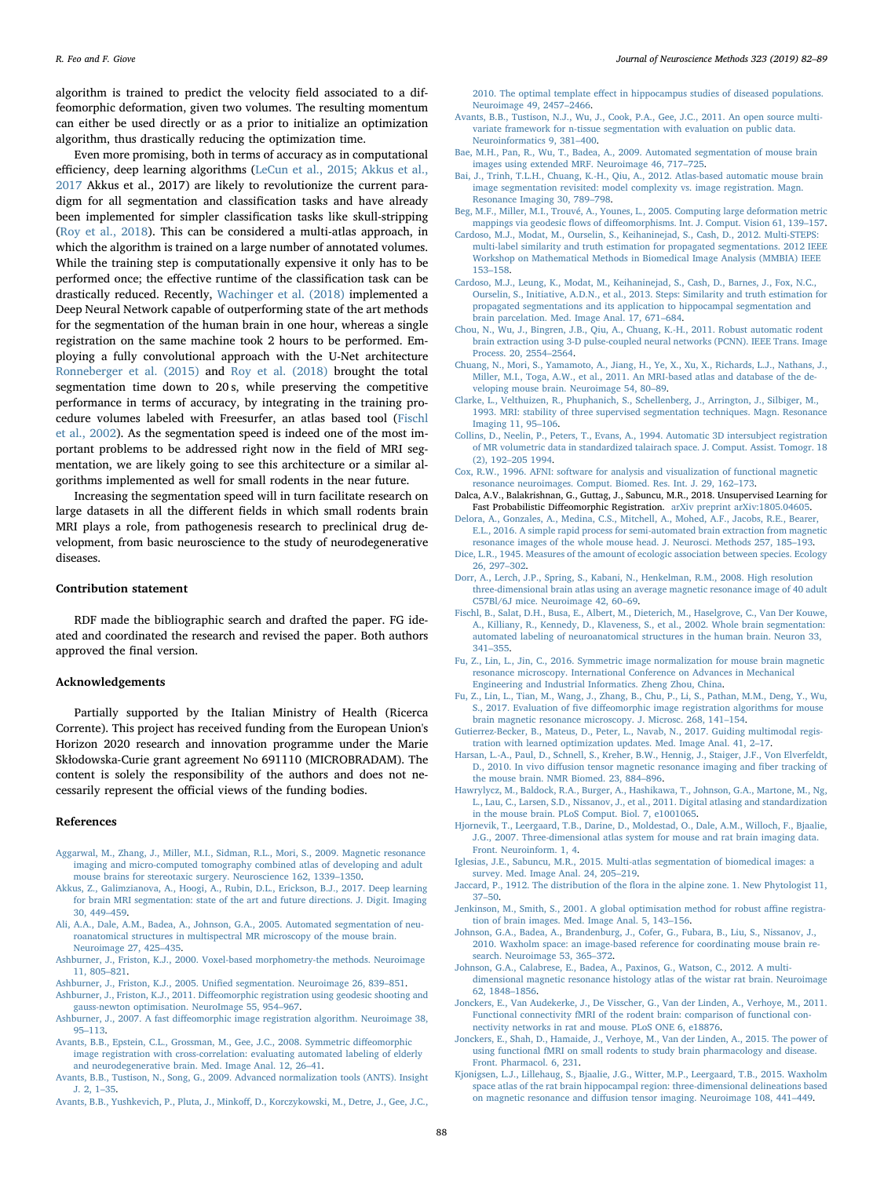algorithm is trained to predict the velocity field associated to a diffeomorphic deformation, given two volumes. The resulting momentum can either be used directly or as a prior to initialize an optimization algorithm, thus drastically reducing the optimization time.

Even more promising, both in terms of accuracy as in computational efficiency, deep learning algorithms [\(LeCun et al., 2015; Akkus et al.,](#page-7-7) [2017](#page-7-7) Akkus et al., 2017) are likely to revolutionize the current paradigm for all segmentation and classification tasks and have already been implemented for simpler classification tasks like skull-stripping ([Roy et al., 2018\)](#page-7-17). This can be considered a multi-atlas approach, in which the algorithm is trained on a large number of annotated volumes. While the training step is computationally expensive it only has to be performed once; the effective runtime of the classification task can be drastically reduced. Recently, [Wachinger et al. \(2018\)](#page-7-36) implemented a Deep Neural Network capable of outperforming state of the art methods for the segmentation of the human brain in one hour, whereas a single registration on the same machine took 2 hours to be performed. Employing a fully convolutional approach with the U-Net architecture [Ronneberger et al. \(2015\)](#page-7-37) and [Roy et al. \(2018\)](#page-7-17) brought the total segmentation time down to 20 s, while preserving the competitive performance in terms of accuracy, by integrating in the training procedure volumes labeled with Freesurfer, an atlas based tool [\(Fischl](#page-6-30) [et al., 2002](#page-6-30)). As the segmentation speed is indeed one of the most important problems to be addressed right now in the field of MRI segmentation, we are likely going to see this architecture or a similar algorithms implemented as well for small rodents in the near future.

Increasing the segmentation speed will in turn facilitate research on large datasets in all the different fields in which small rodents brain MRI plays a role, from pathogenesis research to preclinical drug development, from basic neuroscience to the study of neurodegenerative diseases.

## Contribution statement

RDF made the bibliographic search and drafted the paper. FG ideated and coordinated the research and revised the paper. Both authors approved the final version.

## Acknowledgements

Partially supported by the Italian Ministry of Health (Ricerca Corrente). This project has received funding from the European Union's Horizon 2020 research and innovation programme under the Marie Skłodowska-Curie grant agreement No 691110 (MICROBRADAM). The content is solely the responsibility of the authors and does not necessarily represent the official views of the funding bodies.

#### References

- <span id="page-6-15"></span>[Aggarwal, M., Zhang, J., Miller, M.I., Sidman, R.L., Mori, S., 2009. Magnetic resonance](http://refhub.elsevier.com/S0165-0270(19)30143-8/sbref0005) [imaging and micro-computed tomography combined atlas of developing and adult](http://refhub.elsevier.com/S0165-0270(19)30143-8/sbref0005) [mouse brains for stereotaxic surgery. Neuroscience 162, 1339](http://refhub.elsevier.com/S0165-0270(19)30143-8/sbref0005)–1350.
- [Akkus, Z., Galimzianova, A., Hoogi, A., Rubin, D.L., Erickson, B.J., 2017. Deep learning](http://refhub.elsevier.com/S0165-0270(19)30143-8/sbref0010) [for brain MRI segmentation: state of the art and future directions. J. Digit. Imaging](http://refhub.elsevier.com/S0165-0270(19)30143-8/sbref0010) [30, 449](http://refhub.elsevier.com/S0165-0270(19)30143-8/sbref0010)–459.
- <span id="page-6-2"></span>[Ali, A.A., Dale, A.M., Badea, A., Johnson, G.A., 2005. Automated segmentation of neu](http://refhub.elsevier.com/S0165-0270(19)30143-8/sbref0015)[roanatomical structures in multispectral MR microscopy of the mouse brain.](http://refhub.elsevier.com/S0165-0270(19)30143-8/sbref0015) [Neuroimage 27, 425](http://refhub.elsevier.com/S0165-0270(19)30143-8/sbref0015)–435.
- <span id="page-6-1"></span>[Ashburner, J., Friston, K.J., 2000. Voxel-based morphometry-the methods. Neuroimage](http://refhub.elsevier.com/S0165-0270(19)30143-8/sbref0020) [11, 805](http://refhub.elsevier.com/S0165-0270(19)30143-8/sbref0020)–821.
- <span id="page-6-4"></span>Ashburner, J., Friston, K.J., 2005. Unifi[ed segmentation. Neuroimage 26, 839](http://refhub.elsevier.com/S0165-0270(19)30143-8/sbref0025)–851.
- Ashburner, J., Friston, K.J., 2011. Diff[eomorphic registration using geodesic shooting and](http://refhub.elsevier.com/S0165-0270(19)30143-8/sbref0030) [gauss-newton optimisation. NeuroImage 55, 954](http://refhub.elsevier.com/S0165-0270(19)30143-8/sbref0030)–967.
- <span id="page-6-23"></span>Ashburner, J., 2007. A fast diff[eomorphic image registration algorithm. Neuroimage 38,](http://refhub.elsevier.com/S0165-0270(19)30143-8/sbref0035) 95–[113.](http://refhub.elsevier.com/S0165-0270(19)30143-8/sbref0035)
- <span id="page-6-24"></span>[Avants, B.B., Epstein, C.L., Grossman, M., Gee, J.C., 2008. Symmetric di](http://refhub.elsevier.com/S0165-0270(19)30143-8/sbref0040)ffeomorphic [image registration with cross-correlation: evaluating automated labeling of elderly](http://refhub.elsevier.com/S0165-0270(19)30143-8/sbref0040) [and neurodegenerative brain. Med. Image Anal. 12, 26](http://refhub.elsevier.com/S0165-0270(19)30143-8/sbref0040)–41.
- <span id="page-6-19"></span>[Avants, B.B., Tustison, N., Song, G., 2009. Advanced normalization tools \(ANTS\). Insight](http://refhub.elsevier.com/S0165-0270(19)30143-8/sbref0045) [J. 2, 1](http://refhub.elsevier.com/S0165-0270(19)30143-8/sbref0045)–35.
- <span id="page-6-14"></span>[Avants, B.B., Yushkevich, P., Pluta, J., Minko](http://refhub.elsevier.com/S0165-0270(19)30143-8/sbref0050)ff, D., Korczykowski, M., Detre, J., Gee, J.C.,

2010. The optimal template eff[ect in hippocampus studies of diseased populations.](http://refhub.elsevier.com/S0165-0270(19)30143-8/sbref0050) [Neuroimage 49, 2457](http://refhub.elsevier.com/S0165-0270(19)30143-8/sbref0050)–2466.

- <span id="page-6-5"></span>[Avants, B.B., Tustison, N.J., Wu, J., Cook, P.A., Gee, J.C., 2011. An open source multi](http://refhub.elsevier.com/S0165-0270(19)30143-8/sbref0055)[variate framework for n-tissue segmentation with evaluation on public data.](http://refhub.elsevier.com/S0165-0270(19)30143-8/sbref0055) [Neuroinformatics 9, 381](http://refhub.elsevier.com/S0165-0270(19)30143-8/sbref0055)–400.
- <span id="page-6-27"></span>[Bae, M.H., Pan, R., Wu, T., Badea, A., 2009. Automated segmentation of mouse brain](http://refhub.elsevier.com/S0165-0270(19)30143-8/sbref0060) [images using extended MRF. Neuroimage 46, 717](http://refhub.elsevier.com/S0165-0270(19)30143-8/sbref0060)–725.
- <span id="page-6-3"></span>[Bai, J., Trinh, T.L.H., Chuang, K.-H., Qiu, A., 2012. Atlas-based automatic mouse brain](http://refhub.elsevier.com/S0165-0270(19)30143-8/sbref0065) [image segmentation revisited: model complexity vs. image registration. Magn.](http://refhub.elsevier.com/S0165-0270(19)30143-8/sbref0065) [Resonance Imaging 30, 789](http://refhub.elsevier.com/S0165-0270(19)30143-8/sbref0065)–798.
- <span id="page-6-21"></span>[Beg, M.F., Miller, M.I., Trouvé, A., Younes, L., 2005. Computing large deformation metric](http://refhub.elsevier.com/S0165-0270(19)30143-8/sbref0070) mappings via geodesic flows of diff[eomorphisms. Int. J. Comput. Vision 61, 139](http://refhub.elsevier.com/S0165-0270(19)30143-8/sbref0070)–157.
- <span id="page-6-28"></span>[Cardoso, M.J., Modat, M., Ourselin, S., Keihaninejad, S., Cash, D., 2012. Multi-STEPS:](http://refhub.elsevier.com/S0165-0270(19)30143-8/sbref0075) [multi-label similarity and truth estimation for propagated segmentations. 2012 IEEE](http://refhub.elsevier.com/S0165-0270(19)30143-8/sbref0075) [Workshop on Mathematical Methods in Biomedical Image Analysis \(MMBIA\) IEEE](http://refhub.elsevier.com/S0165-0270(19)30143-8/sbref0075) 153–[158](http://refhub.elsevier.com/S0165-0270(19)30143-8/sbref0075).
- [Cardoso, M.J., Leung, K., Modat, M., Keihaninejad, S., Cash, D., Barnes, J., Fox, N.C.,](http://refhub.elsevier.com/S0165-0270(19)30143-8/sbref0080) [Ourselin, S., Initiative, A.D.N., et al., 2013. Steps: Similarity and truth estimation for](http://refhub.elsevier.com/S0165-0270(19)30143-8/sbref0080) [propagated segmentations and its application to hippocampal segmentation and](http://refhub.elsevier.com/S0165-0270(19)30143-8/sbref0080) brain [parcelation. Med. Image Anal. 17, 671](http://refhub.elsevier.com/S0165-0270(19)30143-8/sbref0080)–684.
- <span id="page-6-9"></span>[Chou, N., Wu, J., Bingren, J.B., Qiu, A., Chuang, K.-H., 2011. Robust automatic rodent](http://refhub.elsevier.com/S0165-0270(19)30143-8/sbref0085) [brain extraction using 3-D pulse-coupled neural networks \(PCNN\). IEEE Trans. Image](http://refhub.elsevier.com/S0165-0270(19)30143-8/sbref0085) [Process. 20, 2554](http://refhub.elsevier.com/S0165-0270(19)30143-8/sbref0085)–2564.
- [Chuang, N., Mori, S., Yamamoto, A., Jiang, H., Ye, X., Xu, X., Richards, L.J., Nathans, J.,](http://refhub.elsevier.com/S0165-0270(19)30143-8/sbref0090) [Miller, M.I., Toga, A.W., et al., 2011. An MRI-based atlas and database of the de](http://refhub.elsevier.com/S0165-0270(19)30143-8/sbref0090)[veloping mouse brain. Neuroimage 54, 80](http://refhub.elsevier.com/S0165-0270(19)30143-8/sbref0090)–89.
- <span id="page-6-6"></span>[Clarke, L., Velthuizen, R., Phuphanich, S., Schellenberg, J., Arrington, J., Silbiger, M.,](http://refhub.elsevier.com/S0165-0270(19)30143-8/sbref0095) [1993. MRI: stability of three supervised segmentation techniques. Magn. Resonance](http://refhub.elsevier.com/S0165-0270(19)30143-8/sbref0095) [Imaging 11, 95](http://refhub.elsevier.com/S0165-0270(19)30143-8/sbref0095)–106.
- <span id="page-6-20"></span>[Collins, D., Neelin, P., Peters, T., Evans, A., 1994. Automatic 3D intersubject registration](http://refhub.elsevier.com/S0165-0270(19)30143-8/sbref0100) [of MR volumetric data in standardized talairach space. J. Comput. Assist. Tomogr. 18](http://refhub.elsevier.com/S0165-0270(19)30143-8/sbref0100) (2), 192–[205 1994](http://refhub.elsevier.com/S0165-0270(19)30143-8/sbref0100).
- <span id="page-6-10"></span>[Cox, R.W., 1996. AFNI: software for analysis and visualization of functional magnetic](http://refhub.elsevier.com/S0165-0270(19)30143-8/sbref0105) [resonance neuroimages. Comput. Biomed. Res. Int. J. 29, 162](http://refhub.elsevier.com/S0165-0270(19)30143-8/sbref0105)–173.
- Dalca, A.V., Balakrishnan, G., Guttag, J., Sabuncu, M.R., 2018. Unsupervised Learning for Fast Probabilistic Diffeomorphic Registration. [arXiv preprint arXiv:1805.04605.](arxiv:/arXiv%20preprint%20arXiv:1805.04605)
- <span id="page-6-11"></span>[Delora, A., Gonzales, A., Medina, C.S., Mitchell, A., Mohed, A.F., Jacobs, R.E., Bearer,](http://refhub.elsevier.com/S0165-0270(19)30143-8/sbref0115) [E.L., 2016. A simple rapid process for semi-automated brain extraction from magnetic](http://refhub.elsevier.com/S0165-0270(19)30143-8/sbref0115) [resonance images of the whole mouse head. J. Neurosci. Methods 257, 185](http://refhub.elsevier.com/S0165-0270(19)30143-8/sbref0115)–193.
- <span id="page-6-8"></span>[Dice, L.R., 1945. Measures of the amount of ecologic association between species. Ecology](http://refhub.elsevier.com/S0165-0270(19)30143-8/sbref0120) [26, 297](http://refhub.elsevier.com/S0165-0270(19)30143-8/sbref0120)–302.
- [Dorr, A., Lerch, J.P., Spring, S., Kabani, N., Henkelman, R.M., 2008. High resolution](http://refhub.elsevier.com/S0165-0270(19)30143-8/sbref0125) [three-dimensional brain atlas using an average magnetic resonance image of 40 adult](http://refhub.elsevier.com/S0165-0270(19)30143-8/sbref0125) [C57Bl/6J mice. Neuroimage 42, 60](http://refhub.elsevier.com/S0165-0270(19)30143-8/sbref0125)–69.
- <span id="page-6-30"></span>[Fischl, B., Salat, D.H., Busa, E., Albert, M., Dieterich, M., Haselgrove, C., Van Der Kouwe,](http://refhub.elsevier.com/S0165-0270(19)30143-8/sbref0130) [A., Killiany, R., Kennedy, D., Klaveness, S., et al., 2002. Whole brain segmentation:](http://refhub.elsevier.com/S0165-0270(19)30143-8/sbref0130) [automated labeling of neuroanatomical structures in the human brain. Neuron 33,](http://refhub.elsevier.com/S0165-0270(19)30143-8/sbref0130) 341–[355](http://refhub.elsevier.com/S0165-0270(19)30143-8/sbref0130).
- <span id="page-6-25"></span>[Fu, Z., Lin, L., Jin, C., 2016. Symmetric image normalization for mouse brain magnetic](http://refhub.elsevier.com/S0165-0270(19)30143-8/sbref0135) [resonance microscopy. International Conference on Advances in Mechanical](http://refhub.elsevier.com/S0165-0270(19)30143-8/sbref0135) [Engineering and Industrial Informatics. Zheng Zhou, China.](http://refhub.elsevier.com/S0165-0270(19)30143-8/sbref0135)
- <span id="page-6-22"></span>[Fu, Z., Lin, L., Tian, M., Wang, J., Zhang, B., Chu, P., Li, S., Pathan, M.M., Deng, Y., Wu,](http://refhub.elsevier.com/S0165-0270(19)30143-8/sbref0140) S., 2017. Evaluation of five diff[eomorphic image registration algorithms for mouse](http://refhub.elsevier.com/S0165-0270(19)30143-8/sbref0140) [brain magnetic resonance microscopy. J. Microsc. 268, 141](http://refhub.elsevier.com/S0165-0270(19)30143-8/sbref0140)–154.
- <span id="page-6-29"></span>[Gutierrez-Becker, B., Mateus, D., Peter, L., Navab, N., 2017. Guiding multimodal regis](http://refhub.elsevier.com/S0165-0270(19)30143-8/sbref0145)[tration with learned optimization updates. Med. Image Anal. 41, 2](http://refhub.elsevier.com/S0165-0270(19)30143-8/sbref0145)–17.
- [Harsan, L.-A., Paul, D., Schnell, S., Kreher, B.W., Hennig, J., Staiger, J.F., Von Elverfeldt,](http://refhub.elsevier.com/S0165-0270(19)30143-8/sbref0150) D., 2010. In vivo diff[usion tensor magnetic resonance imaging and](http://refhub.elsevier.com/S0165-0270(19)30143-8/sbref0150) fiber tracking of [the mouse brain. NMR Biomed. 23, 884](http://refhub.elsevier.com/S0165-0270(19)30143-8/sbref0150)–896.
- <span id="page-6-16"></span>[Hawrylycz, M., Baldock, R.A., Burger, A., Hashikawa, T., Johnson, G.A., Martone, M., Ng,](http://refhub.elsevier.com/S0165-0270(19)30143-8/sbref0155) [L., Lau, C., Larsen, S.D., Nissanov, J., et al., 2011. Digital atlasing and standardization](http://refhub.elsevier.com/S0165-0270(19)30143-8/sbref0155) [in the mouse brain. PLoS Comput. Biol. 7, e1001065](http://refhub.elsevier.com/S0165-0270(19)30143-8/sbref0155).
- <span id="page-6-13"></span>[Hjornevik, T., Leergaard, T.B., Darine, D., Moldestad, O., Dale, A.M., Willoch, F., Bjaalie,](http://refhub.elsevier.com/S0165-0270(19)30143-8/sbref0160) [J.G., 2007. Three-dimensional atlas system for mouse and rat brain imaging data.](http://refhub.elsevier.com/S0165-0270(19)30143-8/sbref0160) [Front. Neuroinform. 1, 4.](http://refhub.elsevier.com/S0165-0270(19)30143-8/sbref0160)
- <span id="page-6-26"></span>[Iglesias, J.E., Sabuncu, M.R., 2015. Multi-atlas segmentation of biomedical images: a](http://refhub.elsevier.com/S0165-0270(19)30143-8/sbref0165) [survey. Med. Image Anal. 24, 205](http://refhub.elsevier.com/S0165-0270(19)30143-8/sbref0165)–219.
- <span id="page-6-7"></span>Jaccard, P., 1912. The distribution of the fl[ora in the alpine zone. 1. New Phytologist 11,](http://refhub.elsevier.com/S0165-0270(19)30143-8/sbref0170) 37–[50](http://refhub.elsevier.com/S0165-0270(19)30143-8/sbref0170).
- <span id="page-6-18"></span>[Jenkinson, M., Smith, S., 2001. A global optimisation method for robust a](http://refhub.elsevier.com/S0165-0270(19)30143-8/sbref0175)ffine registra[tion of brain images. Med. Image Anal. 5, 143](http://refhub.elsevier.com/S0165-0270(19)30143-8/sbref0175)–156.
- <span id="page-6-17"></span>[Johnson, G.A., Badea, A., Brandenburg, J., Cofer, G., Fubara, B., Liu, S., Nissanov, J.,](http://refhub.elsevier.com/S0165-0270(19)30143-8/sbref0180) [2010. Waxholm space: an image-based reference for coordinating mouse brain re](http://refhub.elsevier.com/S0165-0270(19)30143-8/sbref0180)[search. Neuroimage 53, 365](http://refhub.elsevier.com/S0165-0270(19)30143-8/sbref0180)–372.
- [Johnson, G.A., Calabrese, E., Badea, A., Paxinos, G., Watson, C., 2012. A multi](http://refhub.elsevier.com/S0165-0270(19)30143-8/sbref0185)[dimensional magnetic resonance histology atlas of the wistar rat brain. Neuroimage](http://refhub.elsevier.com/S0165-0270(19)30143-8/sbref0185) [62, 1848](http://refhub.elsevier.com/S0165-0270(19)30143-8/sbref0185)–1856.
- <span id="page-6-0"></span>[Jonckers, E., Van Audekerke, J., De Visscher, G., Van der Linden, A., Verhoye, M., 2011.](http://refhub.elsevier.com/S0165-0270(19)30143-8/sbref0190) [Functional connectivity fMRI of the rodent brain: comparison of functional con](http://refhub.elsevier.com/S0165-0270(19)30143-8/sbref0190)[nectivity networks in rat and mouse. PLoS ONE 6, e18876](http://refhub.elsevier.com/S0165-0270(19)30143-8/sbref0190).
- [Jonckers, E., Shah, D., Hamaide, J., Verhoye, M., Van der Linden, A., 2015. The power of](http://refhub.elsevier.com/S0165-0270(19)30143-8/sbref0195) using functional fMRI on small rodents to study brain pharmacology and disease [Front. Pharmacol. 6, 231.](http://refhub.elsevier.com/S0165-0270(19)30143-8/sbref0195)
- <span id="page-6-12"></span>[Kjonigsen, L.J., Lillehaug, S., Bjaalie, J.G., Witter, M.P., Leergaard, T.B., 2015. Waxholm](http://refhub.elsevier.com/S0165-0270(19)30143-8/sbref0200) [space atlas of the rat brain hippocampal region: three-dimensional delineations based](http://refhub.elsevier.com/S0165-0270(19)30143-8/sbref0200) on magnetic resonance and diff[usion tensor imaging. Neuroimage 108, 441](http://refhub.elsevier.com/S0165-0270(19)30143-8/sbref0200)–449.